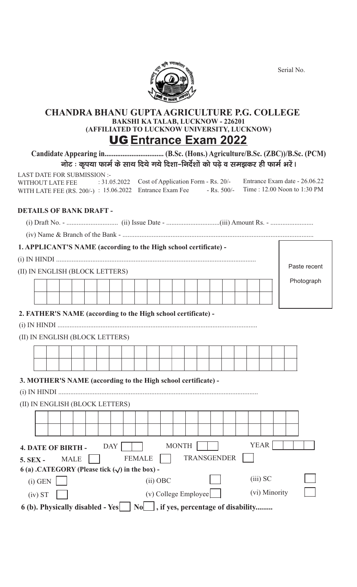Serial No.



# **CHANDRA BHANU GUPTAAGRICULTURE P.G. COLLEGE BAKSHI KA TALAB, LUCKNOW - 226201 (AFFILIATED TO LUCKNOW UNIVERSITY, LUCKNOW)** UG **Entrance Exam 2022**

**Candidate Appearing in................................. (B.Sc. (Hons.) Agriculture/B.Sc. (ZBC))/B.Sc. (PCM)** नोट : कुपया फार्म के साथ दिये गये दिशा-निर्देशों को पढे व समझकर ही फार्म भरें।

LAST DATE FOR SUBMISSION :- WITHOUT LATE FEE WITH LATE FEE (RS. 200/-) : 15.06.2022 Entrance Exam Fee - Rs. 500/- Time : 12.00 Noon to 1:30 PM : 31.05.2022 Cost of Application Form - Rs. 20/- Entrance Exam date - 26.06.22

## **DETAILS OF BANK DRAFT -**

(i) Draft No. - .............................. (ii) Issue Date - ...............................(iii) Amount Rs. - .........................

(iv) Name & Branch of the Bank - ...............................................................................................................

## **1. APPLICANT'S NAME (according to the High school certificate) -**

| (II) IN ENGLISH (BLOCK LETTERS) |  |  |  |  |  |  |  |  |  |  |  |  |  | Paste recent |  |  |            |
|---------------------------------|--|--|--|--|--|--|--|--|--|--|--|--|--|--------------|--|--|------------|
|                                 |  |  |  |  |  |  |  |  |  |  |  |  |  |              |  |  | Photograph |
|                                 |  |  |  |  |  |  |  |  |  |  |  |  |  |              |  |  |            |
|                                 |  |  |  |  |  |  |  |  |  |  |  |  |  |              |  |  |            |

## **2. FATHER'S NAME (according to the High school certificate) -**

(i) IN HINDI ....................................................................................................................

## (II) IN ENGLISH (BLOCK LETTERS)

## **3. MOTHER'S NAME (according to the High school certificate) -**

(i) IN HINDI ....................................................................................................................

## (II) IN ENGLISH (BLOCK LETTERS)

| <b>4. DATE OF BIRTH -</b>                            |                                                                                                      |  |             |  |  |  | <b>DAY</b> |  |               |                        | <b>MONTH</b> |                    |  |  | <b>YEAR</b> |            |               |  |
|------------------------------------------------------|------------------------------------------------------------------------------------------------------|--|-------------|--|--|--|------------|--|---------------|------------------------|--------------|--------------------|--|--|-------------|------------|---------------|--|
| <b>5. SEX -</b>                                      |                                                                                                      |  | <b>MALE</b> |  |  |  |            |  | <b>FEMALE</b> |                        |              | <b>TRANSGENDER</b> |  |  |             |            |               |  |
| 6 (a) .CATEGORY (Please tick $(\sqrt)$ in the box) - |                                                                                                      |  |             |  |  |  |            |  |               |                        |              |                    |  |  |             |            |               |  |
|                                                      | $(i)$ GEN                                                                                            |  |             |  |  |  |            |  |               | $(ii)$ OBC             |              |                    |  |  |             | $(iii)$ SC |               |  |
|                                                      | (iv) ST                                                                                              |  |             |  |  |  |            |  |               | $(v)$ College Employee |              |                    |  |  |             |            | (vi) Minority |  |
|                                                      | $\vert$ , if yes, percentage of disability<br>6 (b). Physically disabled - Yes<br>$\vert$ No $\vert$ |  |             |  |  |  |            |  |               |                        |              |                    |  |  |             |            |               |  |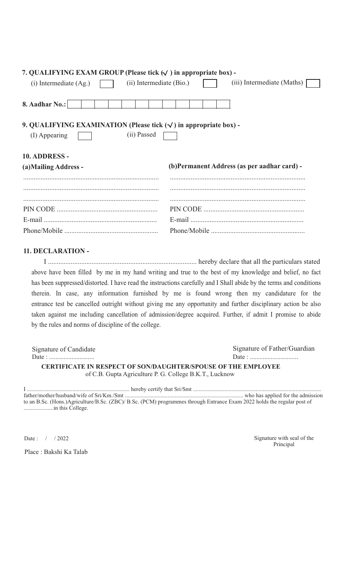| 7. QUALIFYING EXAM GROUP (Please tick $(\vee)$ ) in appropriate box) -                                      |                                              |  |  |  |  |  |  |  |  |  |
|-------------------------------------------------------------------------------------------------------------|----------------------------------------------|--|--|--|--|--|--|--|--|--|
| (ii) Intermediate (Bio.)<br>$(i)$ Intermediate $(Ag)$                                                       | (iii) Intermediate (Maths)                   |  |  |  |  |  |  |  |  |  |
|                                                                                                             |                                              |  |  |  |  |  |  |  |  |  |
| 8. Aadhar No.:                                                                                              |                                              |  |  |  |  |  |  |  |  |  |
| 9. QUALIFYING EXAMINATION (Please tick $(\sqrt{\ } )$ in appropriate box) -<br>(ii) Passed<br>(I) Appearing |                                              |  |  |  |  |  |  |  |  |  |
| 10. ADDRESS -                                                                                               |                                              |  |  |  |  |  |  |  |  |  |
|                                                                                                             |                                              |  |  |  |  |  |  |  |  |  |
| (a) Mailing Address -                                                                                       | (b) Permanent Address (as per aadhar card) - |  |  |  |  |  |  |  |  |  |
|                                                                                                             |                                              |  |  |  |  |  |  |  |  |  |
|                                                                                                             |                                              |  |  |  |  |  |  |  |  |  |
|                                                                                                             |                                              |  |  |  |  |  |  |  |  |  |

## **11. DECLARATION -**

I ..................................................................................... hereby declare that all the particulars stated above have been filled by me in my hand writing and true to the best of my knowledge and belief, no fact has been suppressed/distorted. I have read the instructions carefully and I Shall abide by the terms and conditions therein. In case, any information furnished by me is found wrong then my candidature for the entrance test be cancelled outright without giving me any opportunity and further disciplinary action be also taken against me including cancellation of admission/degree acquired. Further, if admit I promise to abide by the rules and norms of discipline of the college.

| Signature of Candidate                                               | Signature of Father/Guardian |
|----------------------------------------------------------------------|------------------------------|
|                                                                      |                              |
| <b>CERTIFICATE IN RESPECT OF SON/DAUGHTER/SPOUSE OF THE EMPLOYEE</b> |                              |
| of C.B. Gupta Agriculture P. G. College B.K.T., Lucknow              |                              |

| to an B.Sc. (Hons.)Agriculture/B.Sc. (ZBC)/B.Sc. (PCM) programmes through Entrance Exam 2022 holds the regular post of |  |
|------------------------------------------------------------------------------------------------------------------------|--|
|                                                                                                                        |  |

Place : Bakshi Ka Talab

Date : / / 2022 Signature with seal of the Principal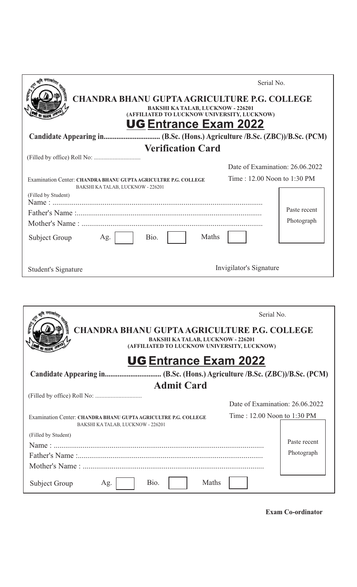| <b>CHANDRA BHANU GUPTA AGRICULTURE P.G. COLLEGE</b><br><b>BAKSHI KA TALAB, LUCKNOW - 226201</b><br>(AFFILIATED TO LUCKNOW UNIVERSITY, LUCKNOW)<br><b>UG Entrance Exam 2022</b> | Serial No.                      |
|--------------------------------------------------------------------------------------------------------------------------------------------------------------------------------|---------------------------------|
|                                                                                                                                                                                |                                 |
| <b>Verification Card</b>                                                                                                                                                       |                                 |
|                                                                                                                                                                                |                                 |
|                                                                                                                                                                                | Date of Examination: 26.06.2022 |
| Examination Center: CHANDRA BHANU GUPTA AGRICULTRE P.G. COLLEGE<br>BAKSHI KA TALAB, LUCKNOW - 226201<br>(Filled by Student)                                                    | Time: 12.00 Noon to 1:30 PM     |
|                                                                                                                                                                                | Paste recent                    |
| Maths<br>Bio.<br>Subject Group<br>Ag.                                                                                                                                          | Photograph                      |
| Student's Signature                                                                                                                                                            | Invigilator's Signature         |

|                                                                                                      | Serial No.                      |  |  |  |  |  |  |  |  |  |
|------------------------------------------------------------------------------------------------------|---------------------------------|--|--|--|--|--|--|--|--|--|
| <b>CHANDRA BHANU GUPTA AGRICULTURE P.G. COLLEGE</b>                                                  |                                 |  |  |  |  |  |  |  |  |  |
| <b>BAKSHI KA TALAB, LUCKNOW - 226201</b><br>(AFFILIATED TO LUCKNOW UNIVERSITY, LUCKNOW)              |                                 |  |  |  |  |  |  |  |  |  |
| <b>UG Entrance Exam 2022</b>                                                                         |                                 |  |  |  |  |  |  |  |  |  |
|                                                                                                      |                                 |  |  |  |  |  |  |  |  |  |
| <b>Admit Card</b>                                                                                    |                                 |  |  |  |  |  |  |  |  |  |
|                                                                                                      |                                 |  |  |  |  |  |  |  |  |  |
|                                                                                                      | Date of Examination: 26.06.2022 |  |  |  |  |  |  |  |  |  |
| Examination Center: CHANDRA BHANU GUPTA AGRICULTRE P.G. COLLEGE<br>BAKSHI KA TALAB, LUCKNOW - 226201 | Time: 12.00 Noon to 1:30 PM     |  |  |  |  |  |  |  |  |  |
| (Filled by Student)                                                                                  |                                 |  |  |  |  |  |  |  |  |  |
|                                                                                                      | Paste recent                    |  |  |  |  |  |  |  |  |  |
|                                                                                                      | Photograph                      |  |  |  |  |  |  |  |  |  |
|                                                                                                      |                                 |  |  |  |  |  |  |  |  |  |
| <b>Maths</b><br>Bio.<br>Subject Group<br>Ag.                                                         |                                 |  |  |  |  |  |  |  |  |  |

**Exam Co-ordinator**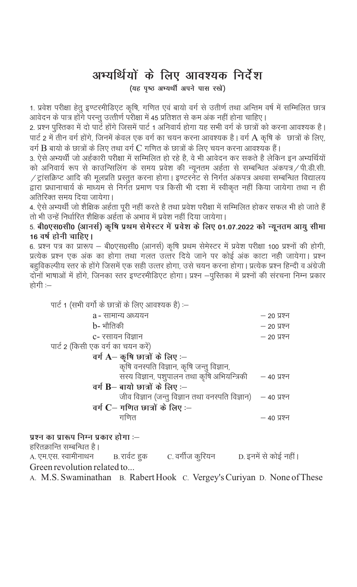# अभ्यर्थियों के लिए आवश्यक निर्देश

(यह पृष्ठ अभ्यर्थी अपने पास रखें)

1. प्रवेश परीक्षा हेतू इण्टरमीडिएट कृषि, गणित एवं बायो वर्ग से उतीर्ण तथा अन्तिम वर्ष में सम्मिलित छात्र आवेदन के पात्र होंगे परन्तु उत्तीर्ण परीक्षा में 45 प्रतिशत से कम अंक नहीं होना चाहिए।

2. प्रश्न पुस्तिका में दो पार्टे होंगे जिसमें पार्ट 1 अनिवार्य होगा यह सभी वर्ग के छात्रों को करना आवश्यक है। पार्ट 2 में तीन वर्ग होंगे, जिनमें केवल एक वर्ग का चयन करना आवश्यक है। वर्ग  $\rm A$  कृषि के छात्रों के लिए, वर्ग B बायो के छात्रों के लिए तथा वर्ग C गणित के छात्रों के लिए चयन करना आवश्यक हैं।

3. ऐसे अभ्यर्थी जो अर्हकारी परीक्षा में सम्मिलित हो रहे है. वे भी आवेदन कर सकते है लेकिन इन अभ्यर्थियों को अनिवार्य रूप से काउन्सिलिंग के समय प्रवेश की न्यूनतम अर्हता से सम्बन्धित अंकपत्र / पी.डी.सी. / ट्रांसक्रिप्ट आदि की मूलप्रति प्रस्तुत करना होगा। इण्टरनेट से निर्गत अंकपत्र अथवा सम्बन्धित विद्यालय द्वारा प्रधानाचार्य के माध्यम से निर्गत प्रमाण पत्र किसी भी दशा में स्वीकृत नहीं किया जायेगा तथा न ही अतिरिक्त समय दिया जायेगा ।

4. ऐसे अभ्यर्थी जो शैक्षिक अर्हता पूरी नहीं करते है तथा प्रवेश परीक्षा में सम्मिलित होकर सफल भी हो जाते हैं तो भी उन्हें निर्धारित शैक्षिक अर्हता के अभाव में प्रवेश नहीं दिया जायेगा।

5. बी0एस0सी0 (आनर्स) कृषि प्रथम सेमेस्टर में प्रवेश के लिए 01.07.2022 को न्यूनतम आयु सीमा 16 वर्ष होनी चाहिए।

6. प्रश्न पत्र का प्रारूप — बी0एस0सी0 (आनर्स) कृषि प्रथम सेमेस्टर में प्रवेश परीक्षा 100 प्रश्नों की होगी, प्रत्येक प्रश्न एक अंक का होगा तथा गलत उत्तर दिये जाने पर कोई अंक काटा नही जायेगा। प्रश्न बहुविकल्पीय स्तर के होंगे जिसमें एक सही उत्तर होगा, उसे चयन करना होगा। प्रत्येक प्रश्न हिन्दी व अंग्रेजी दोनों भाषाओं में होंगे, जिनका स्तर इण्टरमीडिएट होगा। प्रश्न –पुस्तिका में प्रश्नों की संरचना निम्न प्रकार होगी $=$ 

| पार्ट 1 (सभी वर्गो के छात्रों के लिए आवश्यक है) :–             |               |
|----------------------------------------------------------------|---------------|
| a - सामान्य अध्ययन                                             | — २० प्रश्न   |
| b- भौतिकी                                                      | $-20,$ प्रश्न |
| c- रसायन विज्ञान                                               | — २० प्रश्न   |
| पार्ट 2 (किसी एक वर्ग का चयन करें)                             |               |
| वर्ग $\mathbf{A}$ – कृषि छात्रों के लिए :–                     |               |
| कृषि वनस्पति विज्ञान, कृषि जन्तु विज्ञान,                      |               |
| सस्य विज्ञान, पशुपालन तथा कृषि अभियन्त्रिकी – 40 प्रश्न        |               |
| वर्ग $B-$ बायो छात्रों के लिए :—                               |               |
| जीव विज्ञान (जन्तु विज्ञान तथा वनस्पति विज्ञान)    — 40 प्रश्न |               |
| वर्ग $C-$ गणित छात्रों के लिए :–                               |               |
| गणित                                                           | — ४० प्रश्न   |

# प्रश्न का प्रारूप निम्न प्रकार होगा :—

हरितक्रान्ति सम्बन्धित है।

B. रार्वट हुक C. वर्गीज कुरियन D. इनमें से कोई नहीं । A. एम.एस. स्वामीनाथन Green revolution related to...

A. M.S. Swaminathan B. Rabert Hook C. Vergey's Curiyan D. None of These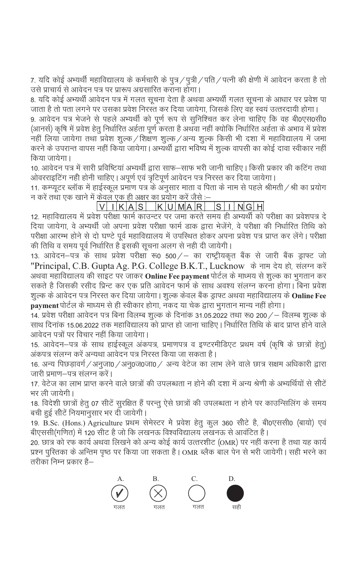7. यदि कोई अभ्यर्थी महाविद्यालय के कर्मचारी के पुत्र / पुत्री / पति / पत्नी की क्षेणी में आवेदन करता है तो उसे प्राचार्य से आवेदन पत्र पर प्रारूप अग्रसारित कराना होगा।

8. यदि कोई अभ्यर्थी आवेदन पत्र में गलत सूचना देता है अथवा अभ्यर्थी गलत सूचना के आधार पर प्रवेश पा जाता है तो पता लगने पर उसका प्रवेश निरस्त कर दिया जायेगा, जिसके लिए वह स्वयं उत्तरदायी होगा।

9. आवेदन पत्र भेजने से पहले अभ्यर्थी को पूर्ण रूप से सूनिश्चित कर लेना चाहिए कि वह बी0एस0सी0 (आनर्स) कृषि में प्रवेश हेतु निर्धारित अर्हता पूर्ण करता है अथवा नहीं क्योकि निर्धारित अर्हता के अभाव में प्रवेश नहीं लिया जायेगा तथा प्रवेश शुल्क / शिक्षण शुल्क / अन्य शुल्क किसी भी दशा में महाविद्यालय में जमा करने के उपरान्त वापस नहीं किया जायेगा | अभ्यर्थी द्वारा भविष्य में शूल्क वापसी का कोई दावा स्वीकार नहीं किया जायेगा।

10. आवेदन पत्र में सारी प्रविष्टियां अभ्यर्थी द्वारा साफ—साफ भरी जानी चाहिए | किसी प्रकार की कटिंग तथा ओवरराइटिंग नही होनी चाहिए। अपूर्ण एवं त्रृटिपूर्ण आवेदन पत्र निरस्त कर दिया जायेगा।

11. कम्प्यूटर ब्लॉक में हाईस्कूल प्रमाण पत्र के अनुसार माता व पिता के नाम से पहले श्रीमती / श्री का प्रयोग न करें तथा एक खाने में केवल एक ही अक्षर का प्रयोग करें जैसे :–

VIKAS KUMAR SINGH

12. महाविद्यालय में प्रवेश परीक्षा फार्म काउन्टर पर जमा करते समय ही अभ्यर्थी को परीक्षा का प्रवेशपत्र दे दिया जायेगा, वे अभ्यर्थी जो अपना प्रवेश परीक्षा फार्म डाक द्वारा भेजेंगे, वे परीक्षा की निर्धारित तिथि को परीक्षा आरम्भ होने से दो घण्टे पूर्व महाविद्यालय में उपस्थित होकर अपना प्रवेश पत्र प्राप्त कर लेंगे। परीक्षा की तिथि व समय पूर्व निर्धारित है इसकी सूचना अलग से नही दी जायेगी |

13. आवेदन–पत्र के साथ प्रवेश परीक्षा रू0 500/– का राष्ट्रीयकृत बैंक से जारी बैंक ड्राफ्ट जो "Principal, C.B. Gupta Ag. P.G. College B.K.T., Lucknow के नाम देय हो, संलग्न करें अथवा महाविद्यालय की साइट पर जाकर **Online Fee payment** पोर्टल के माध्मय से शूल्क का भूगतान कर सकते है जिसकी रसीद प्रिन्ट कर एक प्रति आवेदन फार्म के साथ अवश्य संलग्न करना होगा। बिना प्रवेश शुल्क के आवेदन पत्र निरस्त कर दिया जायेगा। शुल्क केवल बैंक ड्राफ्ट अथवा महाविद्यालय के **Online Fee** payment पोर्टल के माध्यम से ही स्वीकार होगा, नकद या चेक द्वारा भूगतान मान्य नहीं होगा |

14. प्रवेश परीक्षा आवेदन पत्र बिना विलम्ब शुल्क के दिनांक 31.05.2022 तथा रू0 200 / – विलम्ब शुल्क के साथ दिनांक 15.06.2022 तक महाविद्यालय को प्राप्त हो जाना चाहिए | निर्धारित तिथि के बाद प्राप्त होने वाले आवेदन पत्रों पर विचार नहीं किया जायेगा ।

15. आवेदन–पत्र के साथ हाईस्कूल अंकपत्र, प्रमाणपत्र व इण्टरमीडिएट प्रथम वर्ष (कृषि के छात्रों हेतु) अंकपत्र संलग्न करें अन्यथा आवेदन पत्र निरस्त किया जा सकता है।

16. अन्य पिछड़ावर्ग / अनुजा0 / अनु0ज0जा0 / अन्य वेटेज का लाभ लेने वाले छात्र सक्षम अधिकारी द्वारा जारी प्रमाण–पत्र संलग्न करें।

17. वेटेज का लाभ प्राप्त करने वाले छात्रों की उपलब्धता न होने की दशा में अन्य श्रेणी के अभ्यर्थियों से सीटें भर ली जायेगी।

18. विदेशी छात्रों हेतु 07 सीटें सुरक्षित हैं परन्तु ऐसे छात्रों की उपलब्धता न होने पर काउन्सिलिंग के समय बची हुई सीटें नियमानुसार भर दी जायेगी।

19. B.Sc. (Hons.) Agriculture प्रथम सेमेस्टर मे प्रवेश हेतु कुल 360 सीटे है, बी0एससी0 (बायो) एवं बीएससी(गणित) में 120 सीट है जो कि लखनऊ विश्वविद्यालय लखनऊ से आवंटित है।

20. छात्र को रफ कार्य अथवा लिखने को अन्य कोई कार्य उत्तरशीट (OMR) पर नहीं करना है तथा यह कार्य प्रश्न पुरितका के अन्तिम पृष्ठ पर किया जा सकता है | OMR ब्लैक बाल पेन से भरी जायेगी | सही भरने का तरीका निम्न प्रकार है—